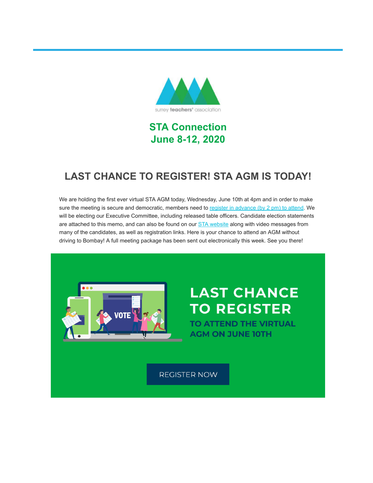

# **STA Connection June 8-12, 2020**

# **LAST CHANCE TO REGISTER! STA AGM IS TODAY!**

We are holding the first ever virtual STA AGM today, Wednesday, June 10th at 4pm and in order to make sure the meeting is secure and democratic, members need to [register in advance \(by 2 pm\) to attend](https://surreyteachers.us20.list-manage.com/track/click?u=37ec644ae87e34b54b3912660&id=0b04326541&e=7261da6bdb). We will be electing our Executive Committee, including released table officers. Candidate election statements are attached to this memo, and can also be found on our **STA website along with video messages from** many of the candidates, as well as registration links. Here is your chance to attend an AGM without driving to Bombay! A full meeting package has been sent out electronically this week. See you there!



# **LAST CHANCE TO REGISTER**

**TO ATTEND THE VIRTUAL AGM ON JUNE 10TH** 

**REGISTER NOW**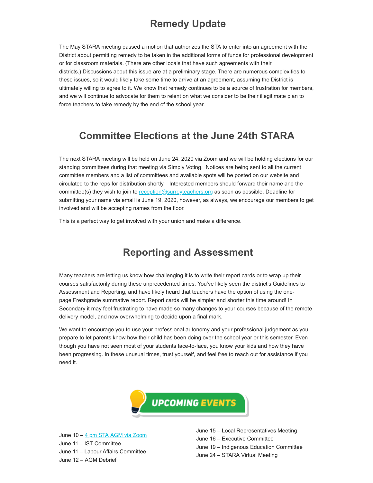# **Remedy Update**

The May STARA meeting passed a motion that authorizes the STA to enter into an agreement with the District about permitting remedy to be taken in the additional forms of funds for professional development or for classroom materials. (There are other locals that have such agreements with their districts.) Discussions about this issue are at a preliminary stage. There are numerous complexities to these issues, so it would likely take some time to arrive at an agreement, assuming the District is ultimately willing to agree to it. We know that remedy continues to be a source of frustration for members, and we will continue to advocate for them to relent on what we consider to be their illegitimate plan to force teachers to take remedy by the end of the school year.

# **Committee Elections at the June 24th STARA**

The next STARA meeting will be held on June 24, 2020 via Zoom and we will be holding elections for our standing committees during that meeting via Simply Voting. Notices are being sent to all the current committee members and a list of committees and available spots will be posted on our website and circulated to the reps for distribution shortly. Interested members should forward their name and the committee(s) they wish to join to [reception@surreyteachers.org](mailto:reception@surreyteachers.org) as soon as possible. Deadline for submitting your name via email is June 19, 2020, however, as always, we encourage our members to get involved and will be accepting names from the floor.

This is a perfect way to get involved with your union and make a difference.

# **Reporting and Assessment**

Many teachers are letting us know how challenging it is to write their report cards or to wrap up their courses satisfactorily during these unprecedented times. You've likely seen the district's Guidelines to Assessment and Reporting, and have likely heard that teachers have the option of using the onepage Freshgrade summative report. Report cards will be simpler and shorter this time around! In Secondary it may feel frustrating to have made so many changes to your courses because of the remote delivery model, and now overwhelming to decide upon a final mark.

We want to encourage you to use your professional autonomy and your professional judgement as you prepare to let parents know how their child has been doing over the school year or this semester. Even though you have not seen most of your students face-to-face, you know your kids and how they have been progressing. In these unusual times, trust yourself, and feel free to reach out for assistance if you need it.



June 10 – [4 pm STA AGM via Zoom](https://surreyteachers.us20.list-manage.com/track/click?u=37ec644ae87e34b54b3912660&id=45b7e716f3&e=7261da6bdb) June 11 – IST Committee June 11 – Labour Affairs Committee June 12 – AGM Debrief

June 15 – Local Representatives Meeting June 16 – Executive Committee June 19 – Indigenous Education Committee June 24 – STARA Virtual Meeting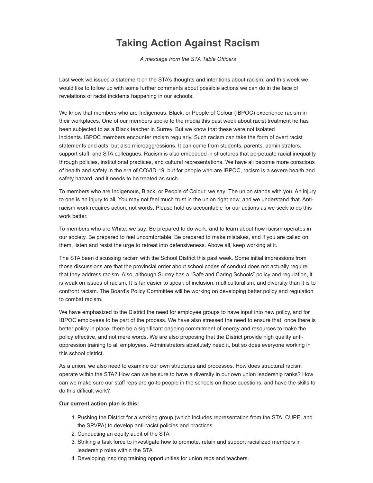# **Taking Action Against Racism**

*A message from the STA Table Officers*

Last week we issued a statement on the STA's thoughts and intentions about racism, and this week we would like to follow up with some further comments about possible actions we can do in the face of revelations of racist incidents happening in our schools.

We know that members who are Indigenous, Black, or People of Colour (IBPOC) experience racism in their workplaces. One of our members spoke to the media this past week about racist treatment he has been subjected to as a Black teacher in Surrey. But we know that these were not isolated incidents. IBPOC members encounter racism regularly. Such racism can take the form of overt racist statements and acts, but also microaggressions. It can come from students, parents, administrators, support staff, and STA colleagues. Racism is also embedded in structures that perpetuate racial inequality through policies, institutional practices, and cultural representations. We have all become more conscious of health and safety in the era of COVID-19, but for people who are IBPOC, racism is a severe health and safety hazard, and it needs to be treated as such.

To members who are Indigenous, Black, or People of Colour, we say: The union stands with you. An injury to one is an injury to all. You may not feel much trust in the union right now, and we understand that. Antiracism work requires action, not words. Please hold us accountable for our actions as we seek to do this work better.

To members who are White, we say: Be prepared to do work, and to learn about how racism operates in our society. Be prepared to feel uncomfortable. Be prepared to make mistakes, and if you are called on them, listen and resist the urge to retreat into defensiveness. Above all, keep working at it.

The STA been discussing racism with the School District this past week. Some initial impressions from those discussions are that the provincial order about school codes of conduct does not actually require that they address racism. Also, although Surrey has a "Safe and Caring Schools" policy and regulation, it is weak on issues of racism. It is far easier to speak of inclusion, multiculturalism, and diversity than it is to confront racism. The Board's Policy Committee will be working on developing better policy and regulation to combat racism.

We have emphasized to the District the need for employee groups to have input into new policy, and for IBPOC employees to be part of the process. We have also stressed the need to ensure that, once there is better policy in place, there be a significant ongoing commitment of energy and resources to make the policy effective, and not mere words. We are also proposing that the District provide high quality antioppression training to all employees. Administrators absolutely need it, but so does everyone working in this school district.

As a union, we also need to examine our own structures and processes. How does structural racism operate within the STA? How can we be sure to have a diversity in our own union leadership ranks? How can we make sure our staff reps are go-to people in the schools on these questions, and have the skills to do this difficult work?

#### **Our current action plan is this:**

- 1. Pushing the District for a working group (which includes representation from the STA, CUPE, and the SPVPA) to develop anti-racist policies and practices
- 2. Conducting an equity audit of the STA
- 3. Striking a task force to investigate how to promote, retain and support racialized members in leadership roles within the STA
- 4. Developing inspiring training opportunities for union reps and teachers.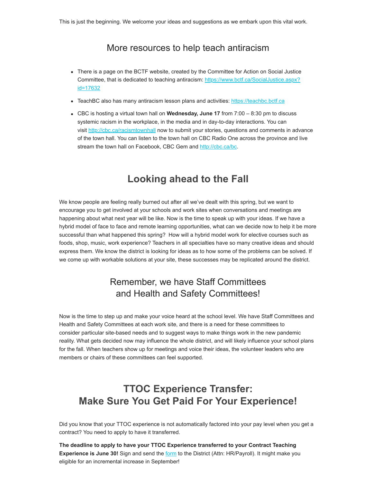#### More resources to help teach antiracism

- There is a page on the BCTF website, created by the Committee for Action on Social Justice [Committee, that is dedicated to teaching antiracism: https://www.bctf.ca/SocialJustice.aspx?](https://surreyteachers.us20.list-manage.com/track/click?u=37ec644ae87e34b54b3912660&id=993f1e66b1&e=7261da6bdb) id=17632
- TeachBC also has many antiracism lesson plans and activities: https://teachbc.bctf.ca
- CBC is hosting a virtual town hall on **Wednesday, June 17** from 7:00 8:30 pm to discuss systemic racism in the workplace, in the media and in day-to-day interactions. You can visit [http://cbc.ca/racismtownhall](https://surreyteachers.us20.list-manage.com/track/click?u=37ec644ae87e34b54b3912660&id=61045cb65f&e=7261da6bdb) now to submit your stories, questions and comments in advance of the town hall. You can listen to the town hall on CBC Radio One across the province and live stream the town hall on Facebook, CBC Gem and [http://cbc.ca/bc.](https://surreyteachers.us20.list-manage.com/track/click?u=37ec644ae87e34b54b3912660&id=44698fb6d7&e=7261da6bdb)

### **Looking ahead to the Fall**

We know people are feeling really burned out after all we've dealt with this spring, but we want to encourage you to get involved at your schools and work sites when conversations and meetings are happening about what next year will be like. Now is the time to speak up with your ideas. If we have a hybrid model of face to face and remote learning opportunities, what can we decide now to help it be more successful than what happened this spring? How will a hybrid model work for elective courses such as foods, shop, music, work experience? Teachers in all specialties have so many creative ideas and should express them. We know the district is looking for ideas as to how some of the problems can be solved. If we come up with workable solutions at your site, these successes may be replicated around the district.

### Remember, we have Staff Committees and Health and Safety Committees!

Now is the time to step up and make your voice heard at the school level. We have Staff Committees and Health and Safety Committees at each work site, and there is a need for these committees to consider particular site-based needs and to suggest ways to make things work in the new pandemic reality. What gets decided now may influence the whole district, and will likely influence your school plans for the fall. When teachers show up for meetings and voice their ideas, the volunteer leaders who are members or chairs of these committees can feel supported.

# **TTOC Experience Transfer: Make Sure You Get Paid For Your Experience!**

Did you know that your TTOC experience is not automatically factored into your pay level when you get a contract? You need to apply to have it transferred.

**The deadline to apply to have your TTOC Experience transferred to your Contract Teaching Experience is June 30!** Sign and send the [form](https://surreyteachers.us20.list-manage.com/track/click?u=37ec644ae87e34b54b3912660&id=ceb4cd502b&e=7261da6bdb) to the District (Attn: HR/Payroll). It might make you eligible for an incremental increase in September!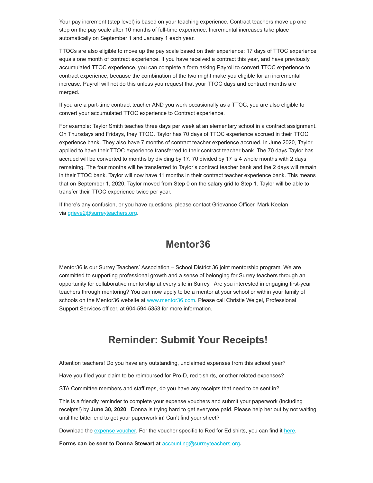Your pay increment (step level) is based on your teaching experience. Contract teachers move up one step on the pay scale after 10 months of full-time experience. Incremental increases take place automatically on September 1 and January 1 each year.

TTOCs are also eligible to move up the pay scale based on their experience: 17 days of TTOC experience equals one month of contract experience. If you have received a contract this year, and have previously accumulated TTOC experience, you can complete a form asking Payroll to convert TTOC experience to contract experience, because the combination of the two might make you eligible for an incremental increase. Payroll will not do this unless you request that your TTOC days and contract months are merged.

If you are a part-time contract teacher AND you work occasionally as a TTOC, you are also eligible to convert your accumulated TTOC experience to Contract experience.

For example: Taylor Smith teaches three days per week at an elementary school in a contract assignment. On Thursdays and Fridays, they TTOC. Taylor has 70 days of TTOC experience accrued in their TTOC experience bank. They also have 7 months of contract teacher experience accrued. In June 2020, Taylor applied to have their TTOC experience transferred to their contract teacher bank. The 70 days Taylor has accrued will be converted to months by dividing by 17. 70 divided by 17 is 4 whole months with 2 days remaining. The four months will be transferred to Taylor's contract teacher bank and the 2 days will remain in their TTOC bank. Taylor will now have 11 months in their contract teacher experience bank. This means that on September 1, 2020, Taylor moved from Step 0 on the salary grid to Step 1. Taylor will be able to transfer their TTOC experience twice per year.

If there's any confusion, or you have questions, please contact Grievance Officer, Mark Keelan via [grieve2@surreyteachers.org.](mailto:grieve2@surreyteachers.org)

### **Mentor36**

Mentor36 is our Surrey Teachers' Association – School District 36 joint mentorship program. We are committed to supporting professional growth and a sense of belonging for Surrey teachers through an opportunity for collaborative mentorship at every site in Surrey. Are you interested in engaging first-year teachers through mentoring? You can now apply to be a mentor at your school or within your family of schools on the Mentor36 website at [www.mentor36.com](https://surreyteachers.us20.list-manage.com/track/click?u=37ec644ae87e34b54b3912660&id=1ec7def2ab&e=7261da6bdb). Please call Christie Weigel, Professional Support Services officer, at 604-594-5353 for more information.

# **Reminder: Submit Your Receipts!**

Attention teachers! Do you have any outstanding, unclaimed expenses from this school year?

Have you filed your claim to be reimbursed for Pro-D, red t-shirts, or other related expenses?

STA Committee members and staff reps, do you have any receipts that need to be sent in?

This is a friendly reminder to complete your expense vouchers and submit your paperwork (including receipts!) by **June 30, 2020**. Donna is trying hard to get everyone paid. Please help her out by not waiting until the bitter end to get your paperwork in! Can't find your sheet?

Download the [expense voucher](https://surreyteachers.us20.list-manage.com/track/click?u=37ec644ae87e34b54b3912660&id=5f39f17099&e=7261da6bdb). For the voucher specific to Red for Ed shirts, you can find it [here](https://surreyteachers.us20.list-manage.com/track/click?u=37ec644ae87e34b54b3912660&id=5a449e3737&e=7261da6bdb).

**Forms can be sent to Donna Stewart at** [accounting@surreyteachers.org](mailto:accounting@surreyteachers.org)**.**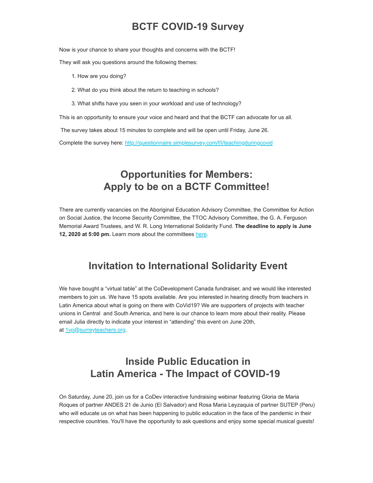# **BCTF COVID-19 Survey**

Now is your chance to share your thoughts and concerns with the BCTF!

They will ask you questions around the following themes:

- 1. How are you doing?
- 2. What do you think about the return to teaching in schools?
- 3. What shifts have you seen in your workload and use of technology?

This is an opportunity to ensure your voice and heard and that the BCTF can advocate for us all.

The survey takes about 15 minutes to complete and will be open until Friday, June 26.

Complete the survey here: [http://questionnaire.simplesurvey.com/f/l/teachingduringcovid](https://surreyteachers.us20.list-manage.com/track/click?u=37ec644ae87e34b54b3912660&id=350a695562&e=7261da6bdb)

# **Opportunities for Members: Apply to be on a BCTF Committee!**

There are currently vacancies on the Aboriginal Education Advisory Committee, the Committee for Action on Social Justice, the Income Security Committee, the TTOC Advisory Committee, the G. A. Ferguson Memorial Award Trustees, and W. R. Long International Solidarity Fund. **The deadline to apply is June 12, 2020 at 5:00 pm.** Learn more about the committees [here.](https://surreyteachers.us20.list-manage.com/track/click?u=37ec644ae87e34b54b3912660&id=7cd6e0abb6&e=7261da6bdb)

#### **Invitation to International Solidarity Event**

We have bought a "virtual table" at the CoDevelopment Canada fundraiser, and we would like interested members to join us. We have 15 spots available. Are you interested in hearing directly from teachers in Latin America about what is going on there with CoVid19? We are supporters of projects with teacher unions in Central and South America, and here is our chance to learn more about their reality. Please email Julia directly to indicate your interest in "attending" this event on June 20th, at [1vp@surreyteachers.org.](mailto:1vp@surreyteachers.org)

# **Inside Public Education in Latin America - The Impact of COVID-19**

On Saturday, June 20, join us for a CoDev interactive fundraising webinar featuring Gloria de Maria Roques of partner ANDES 21 de Junio (El Salvador) and Rosa Maria Leyzaquia of partner SUTEP (Peru) who will educate us on what has been happening to public education in the face of the pandemic in their respective countries. You'll have the opportunity to ask questions and enjoy some special musical guests!